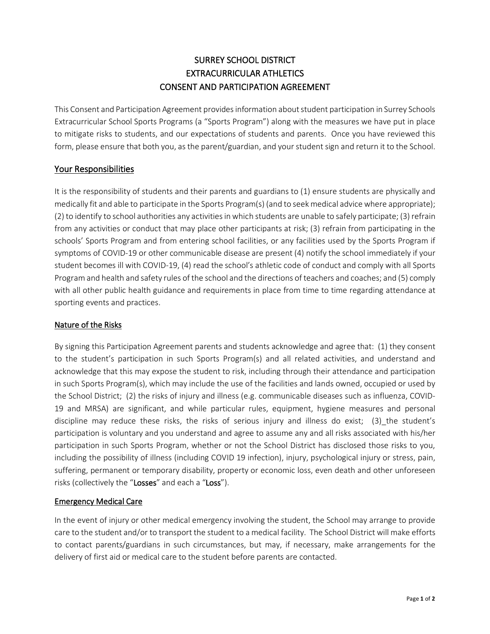# SURREY SCHOOL DISTRICT EXTRACURRICULAR ATHLETICS CONSENT AND PARTICIPATION AGREEMENT

This Consent and Participation Agreement provides information about student participation in Surrey Schools Extracurricular School Sports Programs (a "Sports Program") along with the measures we have put in place to mitigate risks to students, and our expectations of students and parents. Once you have reviewed this form, please ensure that both you, as the parent/guardian, and your student sign and return it to the School.

## Your Responsibilities

It is the responsibility of students and their parents and guardians to (1) ensure students are physically and medically fit and able to participate in the Sports Program(s) (and to seek medical advice where appropriate); (2) to identify to school authorities any activities in which students are unable to safely participate; (3) refrain from any activities or conduct that may place other participants at risk; (3) refrain from participating in the schools' Sports Program and from entering school facilities, or any facilities used by the Sports Program if symptoms of COVID-19 or other communicable disease are present (4) notify the school immediately if your student becomes ill with COVID-19, (4) read the school's athletic code of conduct and comply with all Sports Program and health and safety rules of the school and the directions of teachers and coaches; and (5) comply with all other public health guidance and requirements in place from time to time regarding attendance at sporting events and practices.

### Nature of the Risks

By signing this Participation Agreement parents and students acknowledge and agree that: (1) they consent to the student's participation in such Sports Program(s) and all related activities, and understand and acknowledge that this may expose the student to risk, including through their attendance and participation in such Sports Program(s), which may include the use of the facilities and lands owned, occupied or used by the School District; (2) the risks of injury and illness (e.g. communicable diseases such as influenza, COVID-19 and MRSA) are significant, and while particular rules, equipment, hygiene measures and personal discipline may reduce these risks, the risks of serious injury and illness do exist; (3)\_the student's participation is voluntary and you understand and agree to assume any and all risks associated with his/her participation in such Sports Program, whether or not the School District has disclosed those risks to you, including the possibility of illness (including COVID 19 infection), injury, psychological injury or stress, pain, suffering, permanent or temporary disability, property or economic loss, even death and other unforeseen risks (collectively the "Losses" and each a "Loss").

## Emergency Medical Care

In the event of injury or other medical emergency involving the student, the School may arrange to provide care to the student and/or to transport the student to a medical facility. The School District will make efforts to contact parents/guardians in such circumstances, but may, if necessary, make arrangements for the delivery of first aid or medical care to the student before parents are contacted.